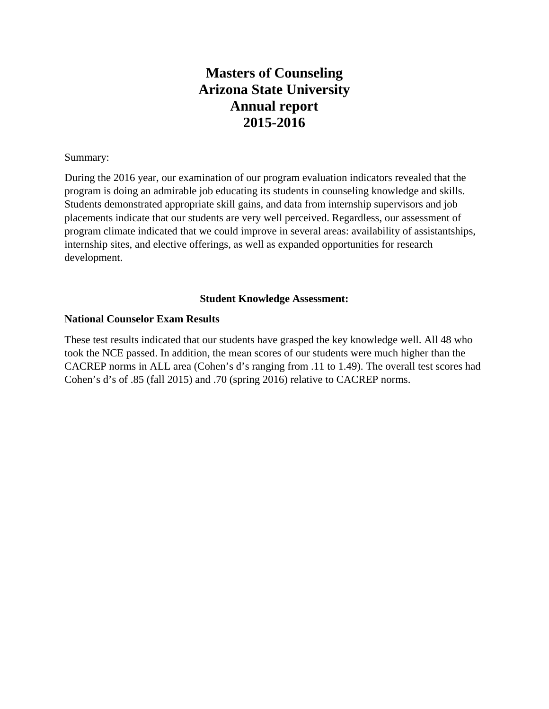## **Masters of Counseling Arizona State University Annual report 2015-2016**

## Summary:

During the 2016 year, our examination of our program evaluation indicators revealed that the program is doing an admirable job educating its students in counseling knowledge and skills. Students demonstrated appropriate skill gains, and data from internship supervisors and job placements indicate that our students are very well perceived. Regardless, our assessment of program climate indicated that we could improve in several areas: availability of assistantships, internship sites, and elective offerings, as well as expanded opportunities for research development.

## **Student Knowledge Assessment:**

## **National Counselor Exam Results**

These test results indicated that our students have grasped the key knowledge well. All 48 who took the NCE passed. In addition, the mean scores of our students were much higher than the CACREP norms in ALL area (Cohen's d's ranging from .11 to 1.49). The overall test scores had Cohen's d's of .85 (fall 2015) and .70 (spring 2016) relative to CACREP norms.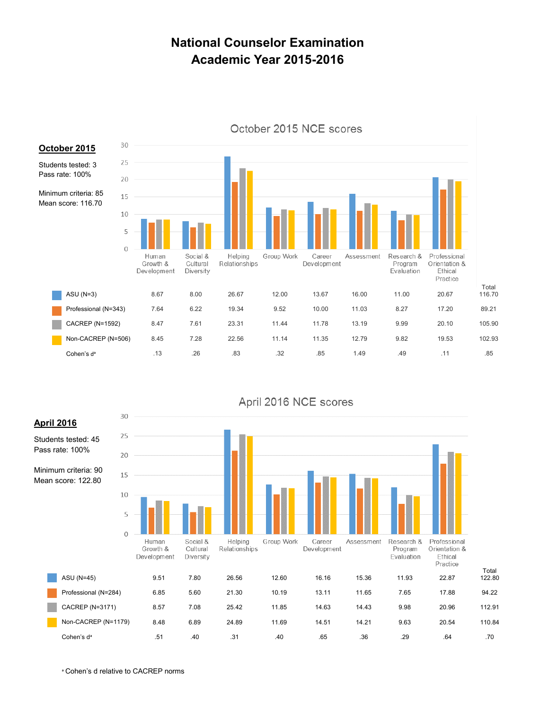## **National Counselor Examination Academic Year 2015-2016**



#### October 2015 NCE scores



April 2016 NCE scores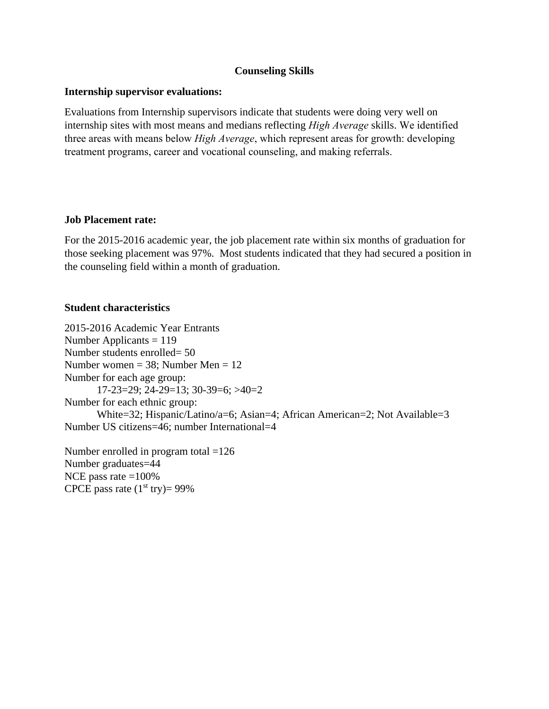## **Counseling Skills**

## **Internship supervisor evaluations:**

Evaluations from Internship supervisors indicate that students were doing very well on internship sites with most means and medians reflecting *High Average* skills. We identified three areas with means below *High Average*, which represent areas for growth: developing treatment programs, career and vocational counseling, and making referrals.

## **Job Placement rate:**

For the 2015-2016 academic year, the job placement rate within six months of graduation for those seeking placement was 97%. Most students indicated that they had secured a position in the counseling field within a month of graduation.

## **Student characteristics**

2015-2016 Academic Year Entrants Number Applicants = 119 Number students enrolled= 50 Number women =  $38$ ; Number Men =  $12$ Number for each age group: 17-23=29; 24-29=13; 30-39=6; >40=2 Number for each ethnic group: White=32; Hispanic/Latino/a=6; Asian=4; African American=2; Not Available=3 Number US citizens=46; number International=4

Number enrolled in program total =126 Number graduates=44 NCE pass rate  $=100\%$ CPCE pass rate  $(1<sup>st</sup> try)= 99\%$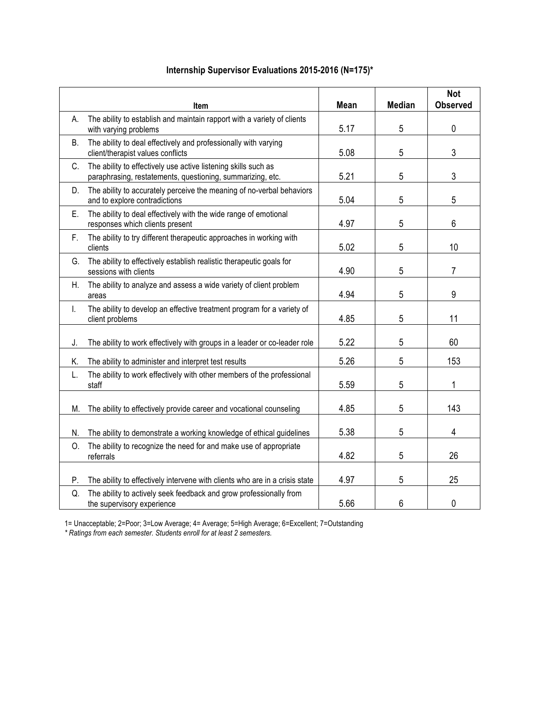|    | Item                                                                                                                         | Mean | <b>Median</b> | <b>Not</b><br><b>Observed</b> |
|----|------------------------------------------------------------------------------------------------------------------------------|------|---------------|-------------------------------|
| А. | The ability to establish and maintain rapport with a variety of clients<br>with varying problems                             | 5.17 | 5             | $\mathbf 0$                   |
| В. | The ability to deal effectively and professionally with varying<br>client/therapist values conflicts                         | 5.08 | 5             | $\mathfrak{Z}$                |
| C. | The ability to effectively use active listening skills such as<br>paraphrasing, restatements, questioning, summarizing, etc. | 5.21 | 5             | 3                             |
| D. | The ability to accurately perceive the meaning of no-verbal behaviors<br>and to explore contradictions                       | 5.04 | 5             | 5                             |
| Е. | The ability to deal effectively with the wide range of emotional<br>responses which clients present                          | 4.97 | 5             | 6                             |
| F. | The ability to try different therapeutic approaches in working with<br>clients                                               | 5.02 | 5             | 10                            |
| G. | The ability to effectively establish realistic therapeutic goals for<br>sessions with clients                                | 4.90 | 5             | $\overline{7}$                |
| Η. | The ability to analyze and assess a wide variety of client problem<br>areas                                                  | 4.94 | 5             | 9                             |
| I. | The ability to develop an effective treatment program for a variety of<br>client problems                                    | 4.85 | 5             | 11                            |
| J. | The ability to work effectively with groups in a leader or co-leader role                                                    | 5.22 | 5             | 60                            |
| Κ. | The ability to administer and interpret test results                                                                         | 5.26 | 5             | 153                           |
| L. | The ability to work effectively with other members of the professional<br>staff                                              | 5.59 | 5             | 1                             |
| М. | The ability to effectively provide career and vocational counseling                                                          | 4.85 | 5             | 143                           |
| N. | The ability to demonstrate a working knowledge of ethical guidelines                                                         | 5.38 | 5             | 4                             |
| 0. | The ability to recognize the need for and make use of appropriate<br>referrals                                               | 4.82 | 5             | 26                            |
| P. | The ability to effectively intervene with clients who are in a crisis state                                                  | 4.97 | 5             | 25                            |
| Q. | The ability to actively seek feedback and grow professionally from<br>the supervisory experience                             | 5.66 | 6             | 0                             |

## **Internship Supervisor Evaluations 2015-2016 (N=175)\***

1= Unacceptable; 2=Poor; 3=Low Average; 4= Average; 5=High Average; 6=Excellent; 7=Outstanding

*\* Ratings from each semester. Students enroll for at least 2 semesters.*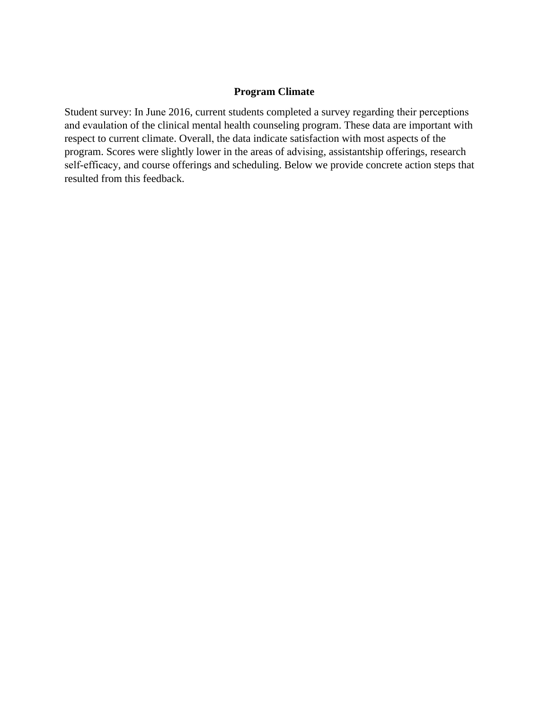### **Program Climate**

Student survey: In June 2016, current students completed a survey regarding their perceptions and evaulation of the clinical mental health counseling program. These data are important with respect to current climate. Overall, the data indicate satisfaction with most aspects of the program. Scores were slightly lower in the areas of advising, assistantship offerings, research self-efficacy, and course offerings and scheduling. Below we provide concrete action steps that resulted from this feedback.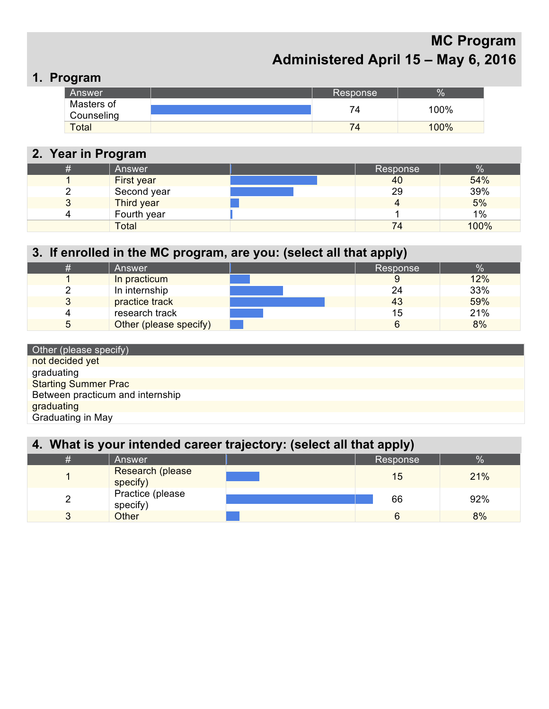# **MC Program Administered April 15 – May 6, 2016**

# **1. Program**

| Answer                   | Response | $\%$ |
|--------------------------|----------|------|
| Masters of<br>Counseling |          | 100% |
| <b>Total</b>             |          | 100% |

# **2. Year in Program**

| # | Answer       | Response | %    |
|---|--------------|----------|------|
|   | First year   | 40       | 54%  |
|   | Second year  | 29       | 39%  |
| ◡ | Third year   |          | 5%   |
|   | Fourth year  |          | 1%   |
|   | <b>Total</b> | 74       | 100% |

| 3. If enrolled in the MC program, are you: (select all that apply) |                        |  |          |      |  |  |  |
|--------------------------------------------------------------------|------------------------|--|----------|------|--|--|--|
| #                                                                  | Answer                 |  | Response | $\%$ |  |  |  |
|                                                                    | In practicum           |  | 9        | 12%  |  |  |  |
|                                                                    | In internship          |  | 24       | 33%  |  |  |  |
|                                                                    | practice track         |  | 43       | 59%  |  |  |  |
|                                                                    | research track         |  | 15       | 21%  |  |  |  |
| 5                                                                  | Other (please specify) |  | 6        | 8%   |  |  |  |

| Other (please specify)           |
|----------------------------------|
| not decided yet                  |
| graduating                       |
| <b>Starting Summer Prac</b>      |
| Between practicum and internship |
| graduating                       |
| Graduating in May                |

| 4. What is your intended career trajectory: (select all that apply) |                              |  |          |      |  |  |  |  |
|---------------------------------------------------------------------|------------------------------|--|----------|------|--|--|--|--|
| #                                                                   | Answer                       |  | Response | $\%$ |  |  |  |  |
|                                                                     | Research (please<br>specify) |  | 15       | 21%  |  |  |  |  |
| 2                                                                   | Practice (please<br>specify) |  | 66       | 92%  |  |  |  |  |
|                                                                     | <b>Other</b>                 |  | 6        | 8%   |  |  |  |  |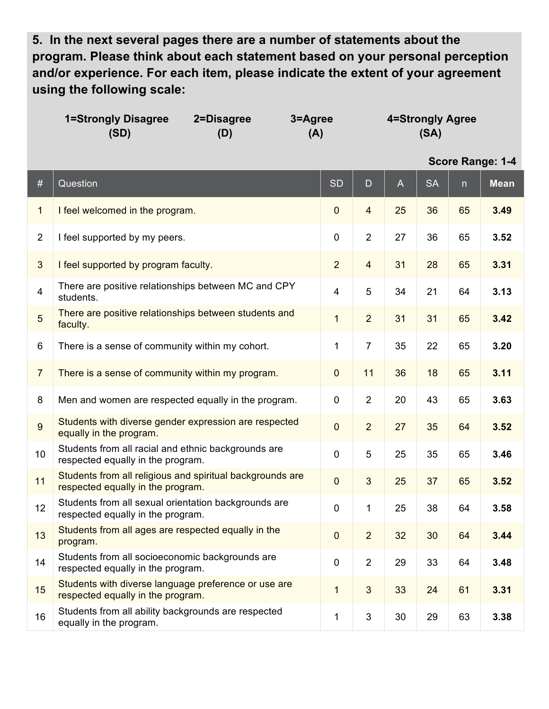**5. In the next several pages there are a number of statements about the program. Please think about each statement based on your personal perception and/or experience. For each item, please indicate the extent of your agreement using the following scale:**

|                | <b>1=Strongly Disagree</b><br>2=Disagree<br>(SD)<br>(D)                                        | 3=Agree<br>(A)   | 4=Strongly Agree<br>(SA) |    |           |    |                  |
|----------------|------------------------------------------------------------------------------------------------|------------------|--------------------------|----|-----------|----|------------------|
|                |                                                                                                |                  |                          |    |           |    | Score Range: 1-4 |
| $\#$           | Question                                                                                       | <b>SD</b>        | D                        | A  | <b>SA</b> | n  | <b>Mean</b>      |
| $\mathbf{1}$   | I feel welcomed in the program.                                                                | $\mathbf 0$      | $\overline{\mathbf{4}}$  | 25 | 36        | 65 | 3.49             |
| $\overline{2}$ | I feel supported by my peers.                                                                  | $\pmb{0}$        | $\overline{2}$           | 27 | 36        | 65 | 3.52             |
| $\mathbf{3}$   | I feel supported by program faculty.                                                           | $\overline{2}$   | $\overline{\mathbf{4}}$  | 31 | 28        | 65 | 3.31             |
| $\overline{4}$ | There are positive relationships between MC and CPY<br>students.                               | 4                | 5                        | 34 | 21        | 64 | 3.13             |
| 5              | There are positive relationships between students and<br>faculty.                              | $\mathbf 1$      | $\overline{2}$           | 31 | 31        | 65 | 3.42             |
| 6              | There is a sense of community within my cohort.                                                | 1                | $\overline{7}$           | 35 | 22        | 65 | 3.20             |
| $\overline{7}$ | There is a sense of community within my program.                                               | $\boldsymbol{0}$ | 11                       | 36 | 18        | 65 | 3.11             |
| 8              | Men and women are respected equally in the program.                                            | $\mathbf 0$      | $\overline{2}$           | 20 | 43        | 65 | 3.63             |
| $\overline{9}$ | Students with diverse gender expression are respected<br>equally in the program.               | $\mathbf 0$      | $\overline{2}$           | 27 | 35        | 64 | 3.52             |
| 10             | Students from all racial and ethnic backgrounds are<br>respected equally in the program.       | 0                | 5                        | 25 | 35        | 65 | 3.46             |
| 11             | Students from all religious and spiritual backgrounds are<br>respected equally in the program. | $\mathbf 0$      | 3                        | 25 | 37        | 65 | 3.52             |
| 12             | Students from all sexual orientation backgrounds are<br>respected equally in the program.      | 0                | 1                        | 25 | 38        | 64 | 3.58             |
| 13             | Students from all ages are respected equally in the<br>program.                                | $\boldsymbol{0}$ | $\overline{2}$           | 32 | 30        | 64 | 3.44             |
| 14             | Students from all socioeconomic backgrounds are<br>respected equally in the program.           | $\pmb{0}$        | $\overline{2}$           | 29 | 33        | 64 | 3.48             |
| 15             | Students with diverse language preference or use are<br>respected equally in the program.      | $\mathbf 1$      | $\mathbf{3}$             | 33 | 24        | 61 | 3.31             |
| 16             | Students from all ability backgrounds are respected<br>equally in the program.                 | 1                | $\sqrt{3}$               | 30 | 29        | 63 | 3.38             |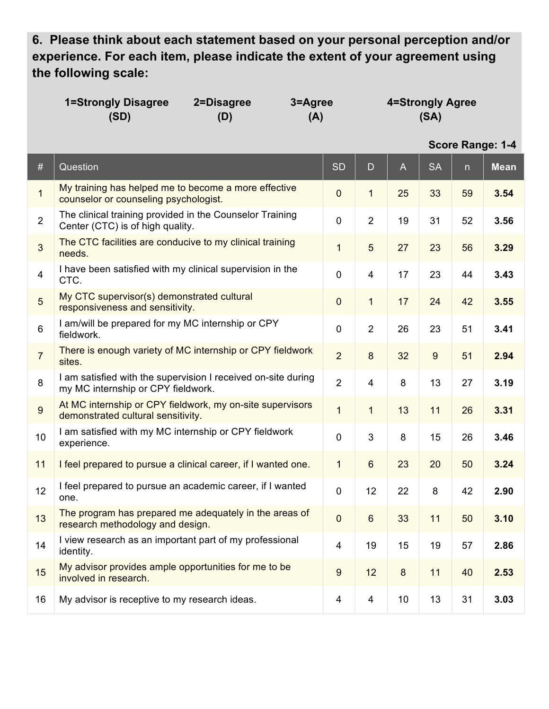**6. Please think about each statement based on your personal perception and/or experience. For each item, please indicate the extent of your agreement using the following scale:**

| <b>1=Strongly Disagree</b> | 2=Disagree | 3=Agree | 4=Strongly Agree |
|----------------------------|------------|---------|------------------|
| (SD)                       | (D)        | (A)     | (SA)             |

| $\#$            | Question                                                                                            | <b>SD</b>               | D              | $\mathsf{A}$ | <b>SA</b> | n  | <b>Mean</b> |
|-----------------|-----------------------------------------------------------------------------------------------------|-------------------------|----------------|--------------|-----------|----|-------------|
| $\mathbf{1}$    | My training has helped me to become a more effective<br>counselor or counseling psychologist.       | $\overline{0}$          | $\mathbf{1}$   | 25           | 33        | 59 | 3.54        |
| $\overline{2}$  | The clinical training provided in the Counselor Training<br>Center (CTC) is of high quality.        | $\mathbf 0$             | $\overline{2}$ | 19           | 31        | 52 | 3.56        |
| 3               | The CTC facilities are conducive to my clinical training<br>needs.                                  | $\mathbf{1}$            | 5              | 27           | 23        | 56 | 3.29        |
| $\overline{4}$  | I have been satisfied with my clinical supervision in the<br>CTC.                                   | $\overline{0}$          | $\overline{4}$ | 17           | 23        | 44 | 3.43        |
| 5               | My CTC supervisor(s) demonstrated cultural<br>responsiveness and sensitivity.                       | $\overline{0}$          | $\mathbf{1}$   | 17           | 24        | 42 | 3.55        |
| $6\phantom{1}6$ | I am/will be prepared for my MC internship or CPY<br>fieldwork.                                     | $\overline{0}$          | $\overline{2}$ | 26           | 23        | 51 | 3.41        |
| $\overline{7}$  | There is enough variety of MC internship or CPY fieldwork<br>sites.                                 | $\overline{2}$          | 8              | 32           | 9         | 51 | 2.94        |
| 8               | I am satisfied with the supervision I received on-site during<br>my MC internship or CPY fieldwork. | $\overline{2}$          | $\overline{4}$ | 8            | 13        | 27 | 3.19        |
| $\overline{9}$  | At MC internship or CPY fieldwork, my on-site supervisors<br>demonstrated cultural sensitivity.     | $\overline{1}$          | $\mathbf{1}$   | 13           | 11        | 26 | 3.31        |
| 10              | I am satisfied with my MC internship or CPY fieldwork<br>experience.                                | $\overline{0}$          | 3              | 8            | 15        | 26 | 3.46        |
| 11              | I feel prepared to pursue a clinical career, if I wanted one.                                       | $\mathbf{1}$            | $6\phantom{1}$ | 23           | 20        | 50 | 3.24        |
| 12              | I feel prepared to pursue an academic career, if I wanted<br>one.                                   | $\overline{0}$          | 12             | 22           | 8         | 42 | 2.90        |
| 13              | The program has prepared me adequately in the areas of<br>research methodology and design.          | $\mathbf 0$             | $6\phantom{a}$ | 33           | 11        | 50 | 3.10        |
| 14              | I view research as an important part of my professional<br>identity.                                | $\overline{\mathbf{4}}$ | 19             | 15           | 19        | 57 | 2.86        |
| 15              | My advisor provides ample opportunities for me to be<br>involved in research.                       | 9                       | 12             | 8            | 11        | 40 | 2.53        |
| 16              | My advisor is receptive to my research ideas.                                                       | $\overline{4}$          | $\overline{4}$ | 10           | 13        | 31 | 3.03        |

**Score Range: 1-4**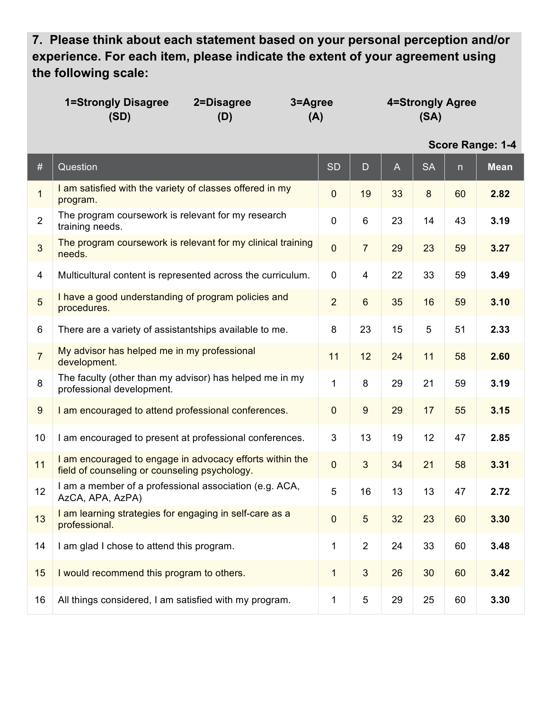**7. Please think about each statement based on your personal perception and/or experience. For each item, please indicate the extent of your agreement using the following scale:**

| <b>1=Strongly Disagree</b> | 2=Disagree | 3=Agree | 4=Strongly Agree |
|----------------------------|------------|---------|------------------|
| (SD)                       | (D)        | (A)     | (SA)             |

**Score Range: 1-4**

| #              | Question                                                                                                  | <b>SD</b>      | D              | $\mathsf{A}% _{\mathsf{A}}^{\prime}=\mathsf{A}_{\mathsf{A}}^{\prime}$ | <b>SA</b> | n. | <b>Mean</b> |
|----------------|-----------------------------------------------------------------------------------------------------------|----------------|----------------|-----------------------------------------------------------------------|-----------|----|-------------|
| $\mathbf{1}$   | I am satisfied with the variety of classes offered in my<br>program.                                      | $\mathbf 0$    | 19             | 33                                                                    | 8         | 60 | 2.82        |
| $\overline{2}$ | The program coursework is relevant for my research<br>training needs.                                     | $\overline{0}$ | 6              | 23                                                                    | 14        | 43 | 3.19        |
| 3              | The program coursework is relevant for my clinical training<br>needs.                                     | $\overline{0}$ | $\overline{7}$ | 29                                                                    | 23        | 59 | 3.27        |
| 4              | Multicultural content is represented across the curriculum.                                               | $\mathbf 0$    | $\overline{4}$ | 22                                                                    | 33        | 59 | 3.49        |
| 5              | I have a good understanding of program policies and<br>procedures.                                        | $\overline{2}$ | 6              | 35                                                                    | 16        | 59 | 3.10        |
| 6              | There are a variety of assistantships available to me.                                                    | 8              | 23             | 15                                                                    | 5         | 51 | 2.33        |
| $\overline{7}$ | My advisor has helped me in my professional<br>development.                                               | 11             | 12             | 24                                                                    | 11        | 58 | 2.60        |
| 8              | The faculty (other than my advisor) has helped me in my<br>professional development.                      | $\mathbf{1}$   | 8              | 29                                                                    | 21        | 59 | 3.19        |
| 9              | I am encouraged to attend professional conferences.                                                       | $\mathbf 0$    | 9              | 29                                                                    | 17        | 55 | 3.15        |
| 10             | I am encouraged to present at professional conferences.                                                   | $\mathbf{3}$   | 13             | 19                                                                    | 12        | 47 | 2.85        |
| 11             | I am encouraged to engage in advocacy efforts within the<br>field of counseling or counseling psychology. | $\overline{0}$ | $\overline{3}$ | 34                                                                    | 21        | 58 | 3.31        |
| 12             | I am a member of a professional association (e.g. ACA,<br>AzCA, APA, AzPA)                                | 5              | 16             | 13                                                                    | 13        | 47 | 2.72        |
| 13             | I am learning strategies for engaging in self-care as a<br>professional.                                  | $\overline{0}$ | 5              | 32                                                                    | 23        | 60 | 3.30        |
| 14             | I am glad I chose to attend this program.                                                                 | $\mathbf{1}$   | $\overline{2}$ | 24                                                                    | 33        | 60 | 3.48        |
| 15             | I would recommend this program to others.                                                                 | $\mathbf{1}$   | $\mathbf{3}$   | 26                                                                    | 30        | 60 | 3.42        |
| 16             | All things considered, I am satisfied with my program.                                                    | $\mathbf{1}$   | 5              | 29                                                                    | 25        | 60 | 3.30        |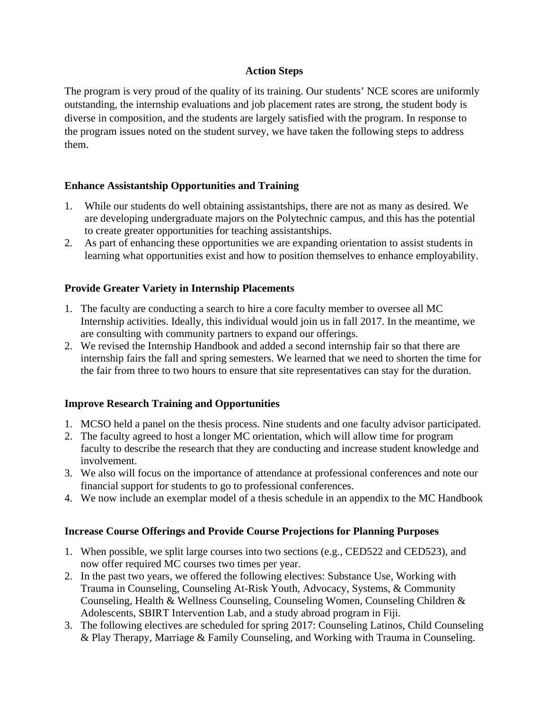## **Action Steps**

The program is very proud of the quality of its training. Our students' NCE scores are uniformly outstanding, the internship evaluations and job placement rates are strong, the student body is diverse in composition, and the students are largely satisfied with the program. In response to the program issues noted on the student survey, we have taken the following steps to address them.

## **Enhance Assistantship Opportunities and Training**

- 1. While our students do well obtaining assistantships, there are not as many as desired. We are developing undergraduate majors on the Polytechnic campus, and this has the potential to create greater opportunities for teaching assistantships.
- 2. As part of enhancing these opportunities we are expanding orientation to assist students in learning what opportunities exist and how to position themselves to enhance employability.

## **Provide Greater Variety in Internship Placements**

- 1. The faculty are conducting a search to hire a core faculty member to oversee all MC Internship activities. Ideally, this individual would join us in fall 2017. In the meantime, we are consulting with community partners to expand our offerings.
- 2. We revised the Internship Handbook and added a second internship fair so that there are internship fairs the fall and spring semesters. We learned that we need to shorten the time for the fair from three to two hours to ensure that site representatives can stay for the duration.

## **Improve Research Training and Opportunities**

- 1. MCSO held a panel on the thesis process. Nine students and one faculty advisor participated.
- 2. The faculty agreed to host a longer MC orientation, which will allow time for program faculty to describe the research that they are conducting and increase student knowledge and involvement.
- 3. We also will focus on the importance of attendance at professional conferences and note our financial support for students to go to professional conferences.
- 4. We now include an exemplar model of a thesis schedule in an appendix to the MC Handbook

## **Increase Course Offerings and Provide Course Projections for Planning Purposes**

- 1. When possible, we split large courses into two sections (e.g., CED522 and CED523), and now offer required MC courses two times per year.
- 2. In the past two years, we offered the following electives: Substance Use, Working with Trauma in Counseling, Counseling At-Risk Youth, Advocacy, Systems, & Community Counseling, Health & Wellness Counseling, Counseling Women, Counseling Children & Adolescents, SBIRT Intervention Lab, and a study abroad program in Fiji.
- 3. The following electives are scheduled for spring 2017: Counseling Latinos, Child Counseling & Play Therapy, Marriage & Family Counseling, and Working with Trauma in Counseling.